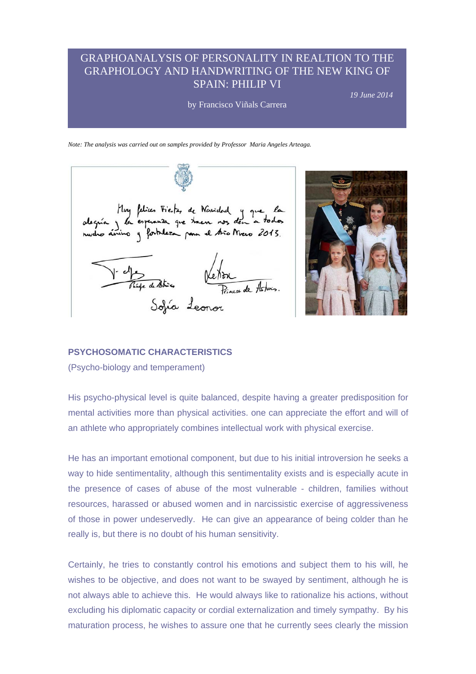# GRAPHOANALYSIS OF PERSONALITY IN REALTION TO THE GRAPHOLOGY AND HANDWRITING OF THE NEW KING OF SPAIN: PHILIP VI

by Francisco Viñals Carrera

*19 June 2014* 

*Note: The analysis was carried out on samples provided by Professor Maria Angeles Arteaga.* 





#### **PSYCHOSOMATIC CHARACTERISTICS**

(Psycho-biology and temperament)

His psycho-physical level is quite balanced, despite having a greater predisposition for mental activities more than physical activities. one can appreciate the effort and will of an athlete who appropriately combines intellectual work with physical exercise.

He has an important emotional component, but due to his initial introversion he seeks a way to hide sentimentality, although this sentimentality exists and is especially acute in the presence of cases of abuse of the most vulnerable - children, families without resources, harassed or abused women and in narcissistic exercise of aggressiveness of those in power undeservedly. He can give an appearance of being colder than he really is, but there is no doubt of his human sensitivity.

Certainly, he tries to constantly control his emotions and subject them to his will, he wishes to be objective, and does not want to be swayed by sentiment, although he is not always able to achieve this. He would always like to rationalize his actions, without excluding his diplomatic capacity or cordial externalization and timely sympathy. By his maturation process, he wishes to assure one that he currently sees clearly the mission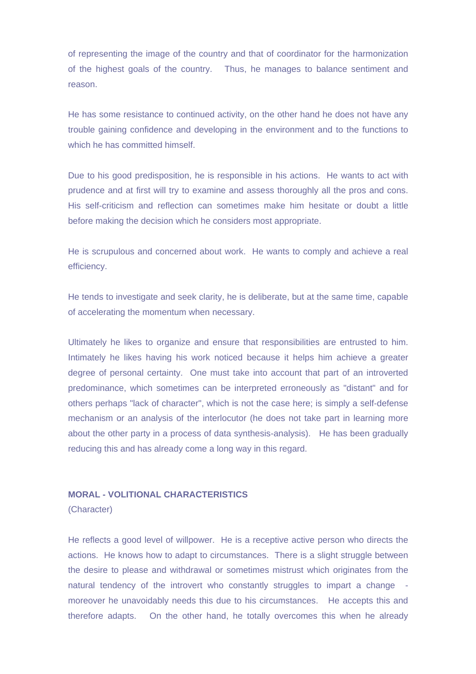of representing the image of the country and that of coordinator for the harmonization of the highest goals of the country. Thus, he manages to balance sentiment and reason.

He has some resistance to continued activity, on the other hand he does not have any trouble gaining confidence and developing in the environment and to the functions to which he has committed himself.

Due to his good predisposition, he is responsible in his actions. He wants to act with prudence and at first will try to examine and assess thoroughly all the pros and cons. His self-criticism and reflection can sometimes make him hesitate or doubt a little before making the decision which he considers most appropriate.

He is scrupulous and concerned about work. He wants to comply and achieve a real efficiency.

He tends to investigate and seek clarity, he is deliberate, but at the same time, capable of accelerating the momentum when necessary.

Ultimately he likes to organize and ensure that responsibilities are entrusted to him. Intimately he likes having his work noticed because it helps him achieve a greater degree of personal certainty. One must take into account that part of an introverted predominance, which sometimes can be interpreted erroneously as "distant" and for others perhaps "lack of character", which is not the case here; is simply a self-defense mechanism or an analysis of the interlocutor (he does not take part in learning more about the other party in a process of data synthesis-analysis). He has been gradually reducing this and has already come a long way in this regard.

# **MORAL - VOLITIONAL CHARACTERISTICS**

(Character)

He reflects a good level of willpower. He is a receptive active person who directs the actions. He knows how to adapt to circumstances. There is a slight struggle between the desire to please and withdrawal or sometimes mistrust which originates from the natural tendency of the introvert who constantly struggles to impart a change moreover he unavoidably needs this due to his circumstances. He accepts this and therefore adapts. On the other hand, he totally overcomes this when he already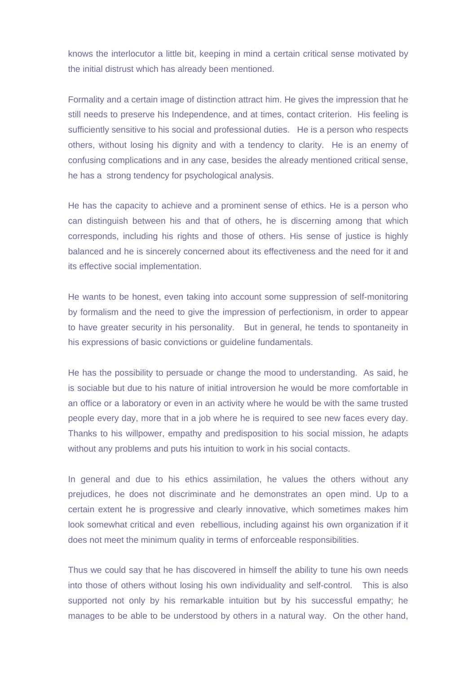knows the interlocutor a little bit, keeping in mind a certain critical sense motivated by the initial distrust which has already been mentioned.

Formality and a certain image of distinction attract him. He gives the impression that he still needs to preserve his Independence, and at times, contact criterion. His feeling is sufficiently sensitive to his social and professional duties. He is a person who respects others, without losing his dignity and with a tendency to clarity. He is an enemy of confusing complications and in any case, besides the already mentioned critical sense, he has a strong tendency for psychological analysis.

He has the capacity to achieve and a prominent sense of ethics. He is a person who can distinguish between his and that of others, he is discerning among that which corresponds, including his rights and those of others. His sense of justice is highly balanced and he is sincerely concerned about its effectiveness and the need for it and its effective social implementation.

He wants to be honest, even taking into account some suppression of self-monitoring by formalism and the need to give the impression of perfectionism, in order to appear to have greater security in his personality. But in general, he tends to spontaneity in his expressions of basic convictions or guideline fundamentals.

He has the possibility to persuade or change the mood to understanding. As said, he is sociable but due to his nature of initial introversion he would be more comfortable in an office or a laboratory or even in an activity where he would be with the same trusted people every day, more that in a job where he is required to see new faces every day. Thanks to his willpower, empathy and predisposition to his social mission, he adapts without any problems and puts his intuition to work in his social contacts.

In general and due to his ethics assimilation, he values the others without any prejudices, he does not discriminate and he demonstrates an open mind. Up to a certain extent he is progressive and clearly innovative, which sometimes makes him look somewhat critical and even rebellious, including against his own organization if it does not meet the minimum quality in terms of enforceable responsibilities.

Thus we could say that he has discovered in himself the ability to tune his own needs into those of others without losing his own individuality and self-control. This is also supported not only by his remarkable intuition but by his successful empathy; he manages to be able to be understood by others in a natural way. On the other hand,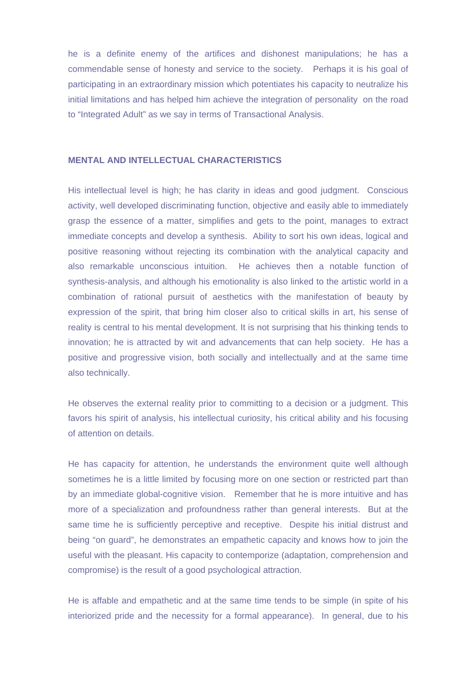he is a definite enemy of the artifices and dishonest manipulations; he has a commendable sense of honesty and service to the society. Perhaps it is his goal of participating in an extraordinary mission which potentiates his capacity to neutralize his initial limitations and has helped him achieve the integration of personality on the road to "Integrated Adult" as we say in terms of Transactional Analysis.

## **MENTAL AND INTELLECTUAL CHARACTERISTICS**

His intellectual level is high; he has clarity in ideas and good judgment. Conscious activity, well developed discriminating function, objective and easily able to immediately grasp the essence of a matter, simplifies and gets to the point, manages to extract immediate concepts and develop a synthesis. Ability to sort his own ideas, logical and positive reasoning without rejecting its combination with the analytical capacity and also remarkable unconscious intuition. He achieves then a notable function of synthesis-analysis, and although his emotionality is also linked to the artistic world in a combination of rational pursuit of aesthetics with the manifestation of beauty by expression of the spirit, that bring him closer also to critical skills in art, his sense of reality is central to his mental development. It is not surprising that his thinking tends to innovation; he is attracted by wit and advancements that can help society. He has a positive and progressive vision, both socially and intellectually and at the same time also technically.

He observes the external reality prior to committing to a decision or a judgment. This favors his spirit of analysis, his intellectual curiosity, his critical ability and his focusing of attention on details.

He has capacity for attention, he understands the environment quite well although sometimes he is a little limited by focusing more on one section or restricted part than by an immediate global-cognitive vision. Remember that he is more intuitive and has more of a specialization and profoundness rather than general interests. But at the same time he is sufficiently perceptive and receptive. Despite his initial distrust and being "on guard", he demonstrates an empathetic capacity and knows how to join the useful with the pleasant. His capacity to contemporize (adaptation, comprehension and compromise) is the result of a good psychological attraction.

He is affable and empathetic and at the same time tends to be simple (in spite of his interiorized pride and the necessity for a formal appearance). In general, due to his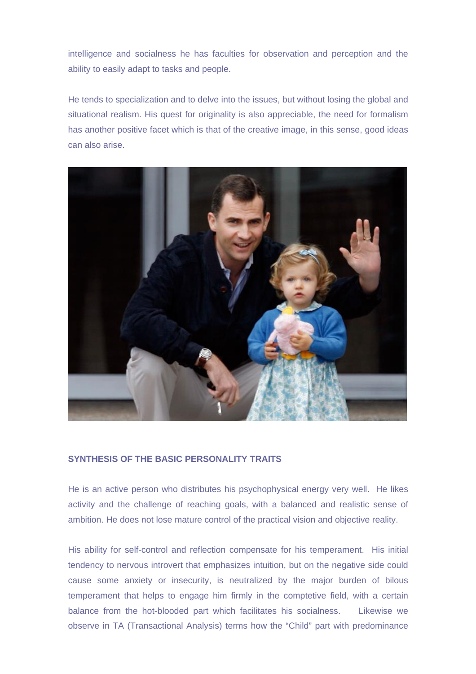intelligence and socialness he has faculties for observation and perception and the ability to easily adapt to tasks and people.

He tends to specialization and to delve into the issues, but without losing the global and situational realism. His quest for originality is also appreciable, the need for formalism has another positive facet which is that of the creative image, in this sense, good ideas can also arise.



# **SYNTHESIS OF THE BASIC PERSONALITY TRAITS**

He is an active person who distributes his psychophysical energy very well. He likes activity and the challenge of reaching goals, with a balanced and realistic sense of ambition. He does not lose mature control of the practical vision and objective reality.

His ability for self-control and reflection compensate for his temperament. His initial tendency to nervous introvert that emphasizes intuition, but on the negative side could cause some anxiety or insecurity, is neutralized by the major burden of bilous temperament that helps to engage him firmly in the comptetive field, with a certain balance from the hot-blooded part which facilitates his socialness. Likewise we observe in TA (Transactional Analysis) terms how the "Child" part with predominance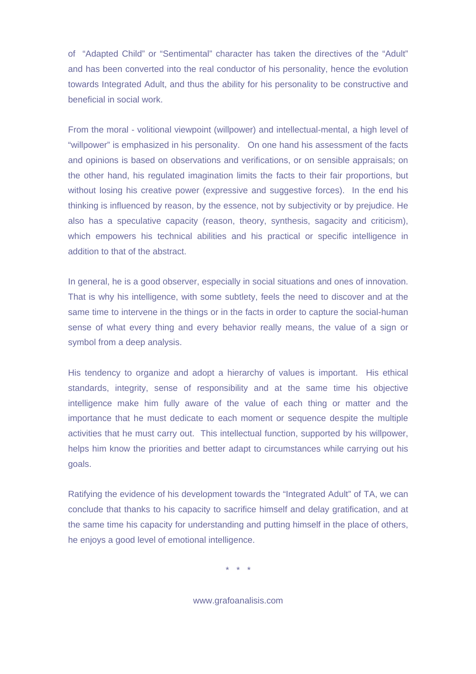of "Adapted Child" or "Sentimental" character has taken the directives of the "Adult" and has been converted into the real conductor of his personality, hence the evolution towards Integrated Adult, and thus the ability for his personality to be constructive and beneficial in social work.

From the moral - volitional viewpoint (willpower) and intellectual-mental, a high level of "willpower" is emphasized in his personality. On one hand his assessment of the facts and opinions is based on observations and verifications, or on sensible appraisals; on the other hand, his regulated imagination limits the facts to their fair proportions, but without losing his creative power (expressive and suggestive forces). In the end his thinking is influenced by reason, by the essence, not by subjectivity or by prejudice. He also has a speculative capacity (reason, theory, synthesis, sagacity and criticism), which empowers his technical abilities and his practical or specific intelligence in addition to that of the abstract.

In general, he is a good observer, especially in social situations and ones of innovation. That is why his intelligence, with some subtlety, feels the need to discover and at the same time to intervene in the things or in the facts in order to capture the social-human sense of what every thing and every behavior really means, the value of a sign or symbol from a deep analysis.

His tendency to organize and adopt a hierarchy of values is important. His ethical standards, integrity, sense of responsibility and at the same time his objective intelligence make him fully aware of the value of each thing or matter and the importance that he must dedicate to each moment or sequence despite the multiple activities that he must carry out. This intellectual function, supported by his willpower, helps him know the priorities and better adapt to circumstances while carrying out his goals.

Ratifying the evidence of his development towards the "Integrated Adult" of TA, we can conclude that thanks to his capacity to sacrifice himself and delay gratification, and at the same time his capacity for understanding and putting himself in the place of others, he enjoys a good level of emotional intelligence.

\* \* \*

www.grafoanalisis.com